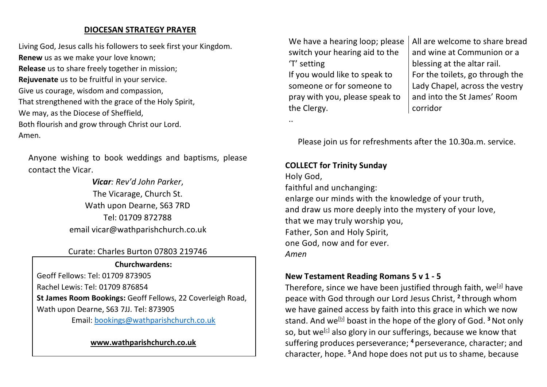### **DIOCESAN STRATEGY PRAYER**

Living God, Jesus calls his followers to seek first your Kingdom. **Renew** us as we make your love known; **Release** us to share freely together in mission; **Rejuvenate** us to be fruitful in your service. Give us courage, wisdom and compassion, That strengthened with the grace of the Holy Spirit, We may, as the Diocese of Sheffield, Both flourish and grow through Christ our Lord. Amen.

Anyone wishing to book weddings and baptisms, please contact the Vicar.

> *Vicar: Rev'd John Parker*, The Vicarage, Church St. Wath upon Dearne, S63 7RD Tel: 01709 872788 email vicar@wathparishchurch.co.uk

## Curate: Charles Burton 07803 219746

#### **Churchwardens:**

Geoff Fellows: Tel: 01709 873905 Rachel Lewis: Tel: 01709 876854 **St James Room Bookings:** Geoff Fellows, 22 Coverleigh Road, Wath upon Dearne, S63 7JJ. Tel: 873905

Email: bookings@wathparishchurch.co.uk

# **All Saints' Parish Church www.wathparishchurch.co.uk**June 12th 2022

We have a hearing loop; please switch your hearing aid to the 'T' setting

If you would like to speak to someone or for someone to pray with you, please speak to the Clergy.

All are welcome to share bread and wine at Communion or a blessing at the altar rail. For the toilets, go through the Lady Chapel, across the vestry and into the St James' Room corridor

Please join us for refreshments after the 10.30a.m. service.

#### **COLLECT for Trinity Sunday**

..

Holy God, faithful and unchanging: enlarge our minds with the knowledge of your truth, and draw us more deeply into the mystery of your love, that we may truly worship you, Father, Son and Holy Spirit, one God, now and for ever. *Amen*

#### **New Testament Reading Romans 5 v 1 - 5**

Therefore, since we have been justified through faith, we<sup>[a]</sup> have peace with God through our Lord Jesus Christ, **<sup>2</sup>** through whom we have gained access by faith into this grace in which we now stand. And we<sup>[b]</sup> boast in the hope of the glory of God. <sup>3</sup> Not only so, but we<sup>[c]</sup> also glory in our sufferings, because we know that suffering produces perseverance; **<sup>4</sup>** perseverance, character; and character, hope. **<sup>5</sup>**And hope does not put us to shame, because